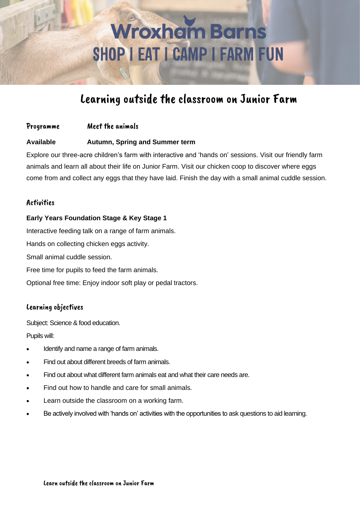# **Wroxham Barns** SHOP I EAT I CAMP I FARM FUN

### Learning outside the classroom on Junior Farm

#### Programme Meet the animals

#### **Available Autumn, Spring and Summer term**

Explore our three-acre children's farm with interactive and 'hands on' sessions. Visit our friendly farm animals and learn all about their life on Junior Farm. Visit our chicken coop to discover where eggs come from and collect any eggs that they have laid. Finish the day with a small animal cuddle session.

#### **Activities**

#### **Early Years Foundation Stage & Key Stage 1**

Interactive feeding talk on a range of farm animals. Hands on collecting chicken eggs activity. Small animal cuddle session. Free time for pupils to feed the farm animals. Optional free time: Enjoy indoor soft play or pedal tractors.

#### Learning objectives

Subject: Science & food education. Pupils will:

- Identify and name a range of farm animals.
- Find out about different breeds of farm animals.
- Find out about what different farm animals eat and what their care needs are.
- Find out how to handle and care for small animals.
- Learn outside the classroom on a working farm.
- Be actively involved with 'hands on' activities with the opportunities to ask questions to aid learning.